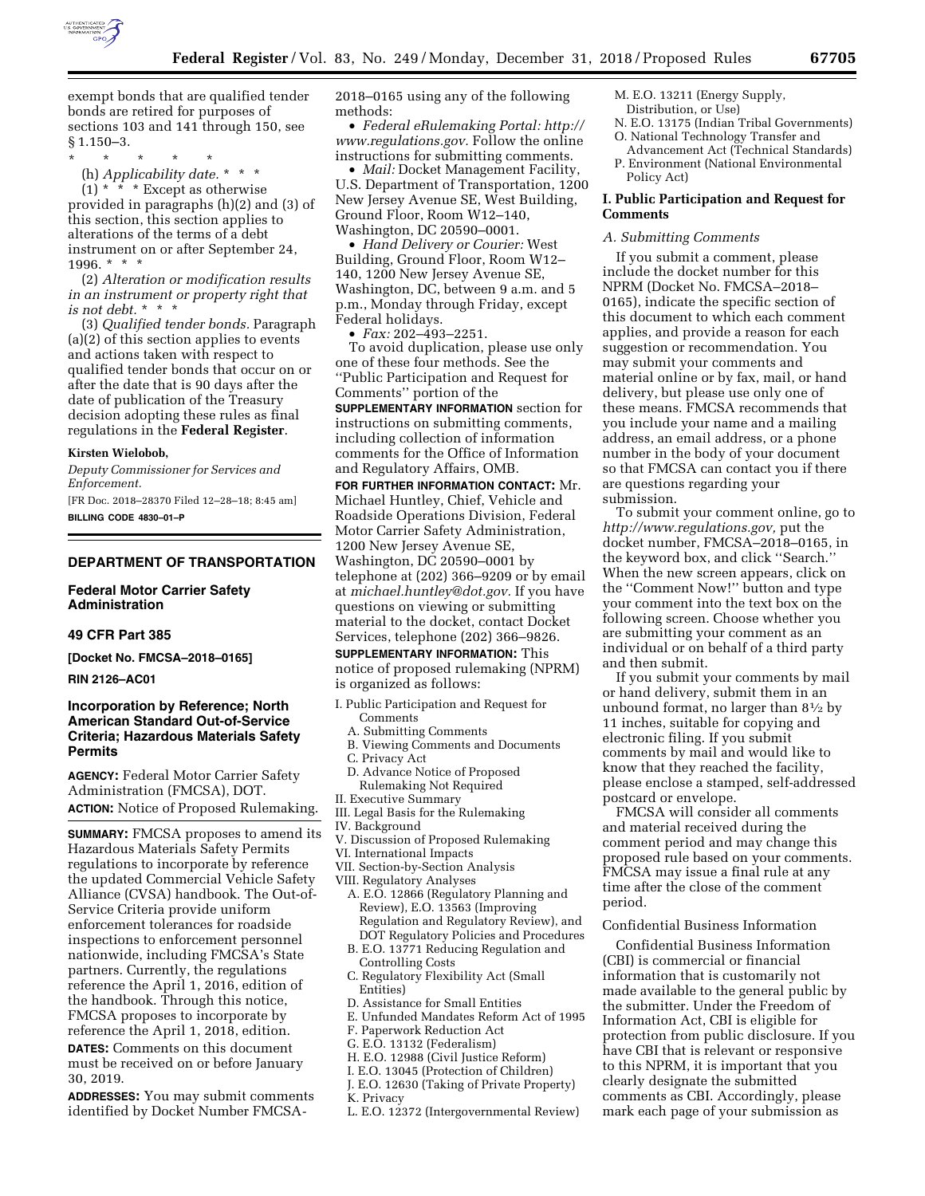

exempt bonds that are qualified tender bonds are retired for purposes of sections 103 and 141 through 150, see § 1.150–3.

\* \* \* \* \*

(h) *Applicability date.* \* \* \*

 $(1)$  \*  $\cdot$  \* \* Except as otherwise provided in paragraphs (h)(2) and (3) of this section, this section applies to alterations of the terms of a debt instrument on or after September 24, 1996. \* \* \*

(2) *Alteration or modification results in an instrument or property right that is not debt.* \* \* \*

(3) *Qualified tender bonds.* Paragraph (a)(2) of this section applies to events and actions taken with respect to qualified tender bonds that occur on or after the date that is 90 days after the date of publication of the Treasury decision adopting these rules as final regulations in the **Federal Register**.

#### **Kirsten Wielobob,**

*Deputy Commissioner for Services and Enforcement.* 

[FR Doc. 2018–28370 Filed 12–28–18; 8:45 am] **BILLING CODE 4830–01–P** 

# **DEPARTMENT OF TRANSPORTATION**

### **Federal Motor Carrier Safety Administration**

#### **49 CFR Part 385**

**[Docket No. FMCSA–2018–0165]** 

#### **RIN 2126–AC01**

# **Incorporation by Reference; North American Standard Out-of-Service Criteria; Hazardous Materials Safety Permits**

**AGENCY:** Federal Motor Carrier Safety Administration (FMCSA), DOT. **ACTION:** Notice of Proposed Rulemaking.

**SUMMARY:** FMCSA proposes to amend its Hazardous Materials Safety Permits regulations to incorporate by reference the updated Commercial Vehicle Safety Alliance (CVSA) handbook. The Out-of-Service Criteria provide uniform enforcement tolerances for roadside inspections to enforcement personnel nationwide, including FMCSA's State partners. Currently, the regulations reference the April 1, 2016, edition of the handbook. Through this notice, FMCSA proposes to incorporate by reference the April 1, 2018, edition.

**DATES:** Comments on this document must be received on or before January 30, 2019.

**ADDRESSES:** You may submit comments identified by Docket Number FMCSA*-*

2018–0165 using any of the following methods:

• *Federal eRulemaking Portal: [http://](http://www.regulations.gov)  [www.regulations.gov.](http://www.regulations.gov)* Follow the online instructions for submitting comments.

• *Mail:* Docket Management Facility, U.S. Department of Transportation, 1200 New Jersey Avenue SE, West Building, Ground Floor, Room W12–140, Washington, DC 20590–0001.

• *Hand Delivery or Courier:* West Building, Ground Floor, Room W12– 140, 1200 New Jersey Avenue SE, Washington, DC, between 9 a.m. and 5 p.m., Monday through Friday, except Federal holidays.

• *Fax:* 202–493–2251.

To avoid duplication, please use only one of these four methods. See the ''Public Participation and Request for Comments'' portion of the

**SUPPLEMENTARY INFORMATION** section for instructions on submitting comments, including collection of information comments for the Office of Information and Regulatory Affairs, OMB.

**FOR FURTHER INFORMATION CONTACT:** Mr. Michael Huntley, Chief, Vehicle and Roadside Operations Division, Federal Motor Carrier Safety Administration, 1200 New Jersey Avenue SE, Washington, DC 20590–0001 by telephone at (202) 366–9209 or by email at *[michael.huntley@dot.gov.](mailto:michael.huntley@dot.gov)* If you have questions on viewing or submitting material to the docket, contact Docket Services, telephone (202) 366–9826.

# **SUPPLEMENTARY INFORMATION:** This

notice of proposed rulemaking (NPRM) is organized as follows:

- I. Public Participation and Request for Comments
	- A. Submitting Comments
	- B. Viewing Comments and Documents
	- C. Privacy Act
	- D. Advance Notice of Proposed
- Rulemaking Not Required II. Executive Summary
- III. Legal Basis for the Rulemaking
- IV. Background
- V. Discussion of Proposed Rulemaking
- VI. International Impacts
- VII. Section-by-Section Analysis
- VIII. Regulatory Analyses
	- A. E.O. 12866 (Regulatory Planning and Review), E.O. 13563 (Improving Regulation and Regulatory Review), and DOT Regulatory Policies and Procedures
	- B. E.O. 13771 Reducing Regulation and Controlling Costs
	- C. Regulatory Flexibility Act (Small Entities)
	- D. Assistance for Small Entities
	- E. Unfunded Mandates Reform Act of 1995
	- F. Paperwork Reduction Act
	- G. E.O. 13132 (Federalism)
	- H. E.O. 12988 (Civil Justice Reform)
	- I. E.O. 13045 (Protection of Children)
	- J. E.O. 12630 (Taking of Private Property)
- K. Privacy
- L. E.O. 12372 (Intergovernmental Review)
- M. E.O. 13211 (Energy Supply, Distribution, or Use)
- N. E.O. 13175 (Indian Tribal Governments)
- O. National Technology Transfer and Advancement Act (Technical Standards)
- P. Environment (National Environmental Policy Act)

### **I. Public Participation and Request for Comments**

#### *A. Submitting Comments*

If you submit a comment, please include the docket number for this NPRM (Docket No. FMCSA–2018– 0165), indicate the specific section of this document to which each comment applies, and provide a reason for each suggestion or recommendation. You may submit your comments and material online or by fax, mail, or hand delivery, but please use only one of these means. FMCSA recommends that you include your name and a mailing address, an email address, or a phone number in the body of your document so that FMCSA can contact you if there are questions regarding your submission.

To submit your comment online, go to *[http://www.regulations.gov,](http://www.regulations.gov)* put the docket number, FMCSA–2018–0165, in the keyword box, and click ''Search.'' When the new screen appears, click on the ''Comment Now!'' button and type your comment into the text box on the following screen. Choose whether you are submitting your comment as an individual or on behalf of a third party and then submit.

If you submit your comments by mail or hand delivery, submit them in an unbound format, no larger than 81⁄2 by 11 inches, suitable for copying and electronic filing. If you submit comments by mail and would like to know that they reached the facility, please enclose a stamped, self-addressed postcard or envelope.

FMCSA will consider all comments and material received during the comment period and may change this proposed rule based on your comments. FMCSA may issue a final rule at any time after the close of the comment period.

#### Confidential Business Information

Confidential Business Information (CBI) is commercial or financial information that is customarily not made available to the general public by the submitter. Under the Freedom of Information Act, CBI is eligible for protection from public disclosure. If you have CBI that is relevant or responsive to this NPRM, it is important that you clearly designate the submitted comments as CBI. Accordingly, please mark each page of your submission as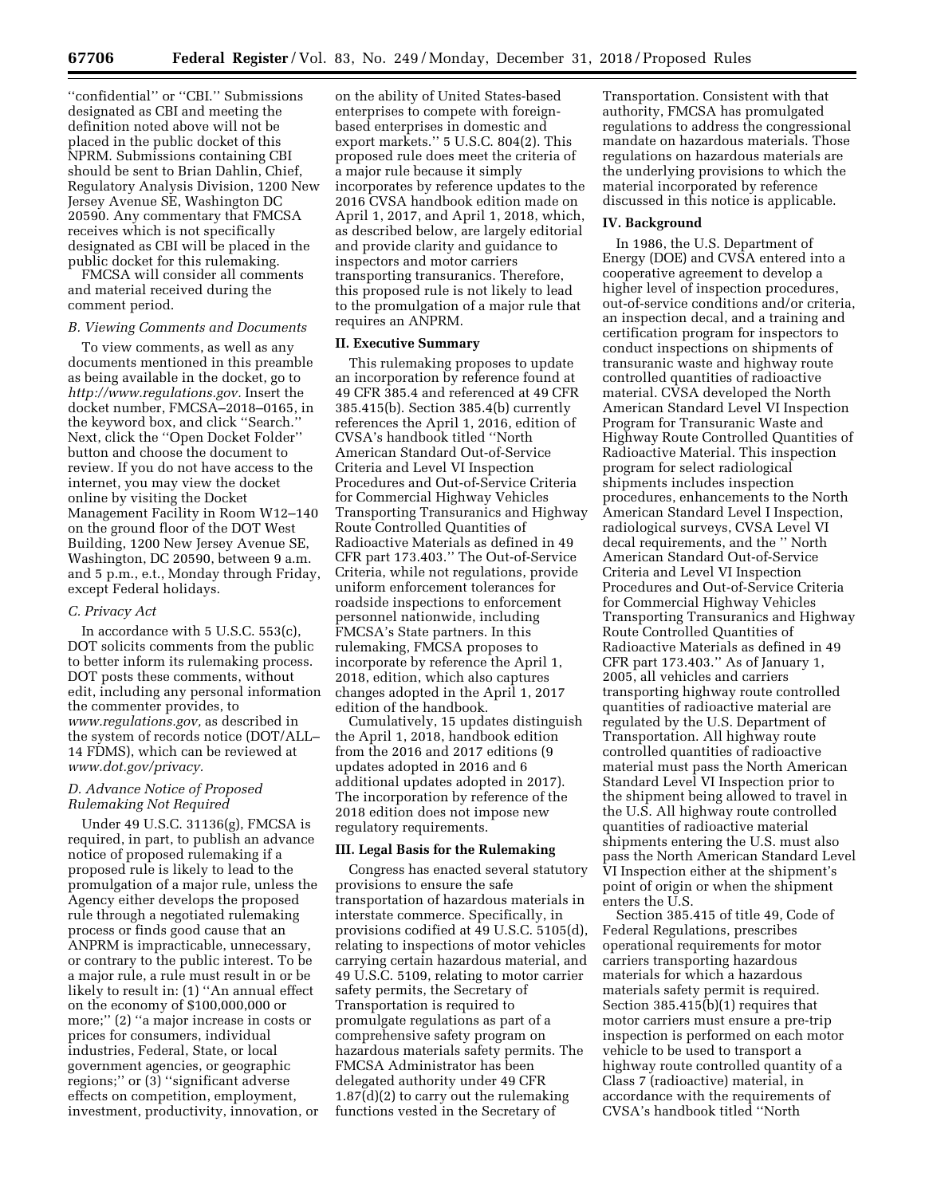''confidential'' or ''CBI.'' Submissions designated as CBI and meeting the definition noted above will not be placed in the public docket of this NPRM. Submissions containing CBI should be sent to Brian Dahlin, Chief, Regulatory Analysis Division, 1200 New Jersey Avenue SE, Washington DC 20590. Any commentary that FMCSA receives which is not specifically designated as CBI will be placed in the public docket for this rulemaking.

FMCSA will consider all comments and material received during the comment period.

### *B. Viewing Comments and Documents*

To view comments, as well as any documents mentioned in this preamble as being available in the docket, go to *[http://www.regulations.gov.](http://www.regulations.gov)* Insert the docket number, FMCSA–2018–0165, in the keyword box, and click ''Search.'' Next, click the ''Open Docket Folder'' button and choose the document to review. If you do not have access to the internet, you may view the docket online by visiting the Docket Management Facility in Room W12–140 on the ground floor of the DOT West Building, 1200 New Jersey Avenue SE, Washington, DC 20590, between 9 a.m. and 5 p.m., e.t., Monday through Friday, except Federal holidays.

### *C. Privacy Act*

In accordance with 5 U.S.C. 553(c), DOT solicits comments from the public to better inform its rulemaking process. DOT posts these comments, without edit, including any personal information the commenter provides, to *[www.regulations.gov,](http://www.regulations.gov)* as described in the system of records notice (DOT/ALL– 14 FDMS), which can be reviewed at *[www.dot.gov/privacy.](http://www.dot.gov/privacy)* 

# *D. Advance Notice of Proposed Rulemaking Not Required*

Under 49 U.S.C. 31136(g), FMCSA is required, in part, to publish an advance notice of proposed rulemaking if a proposed rule is likely to lead to the promulgation of a major rule, unless the Agency either develops the proposed rule through a negotiated rulemaking process or finds good cause that an ANPRM is impracticable, unnecessary, or contrary to the public interest. To be a major rule, a rule must result in or be likely to result in: (1) ''An annual effect on the economy of \$100,000,000 or more;'' (2) ''a major increase in costs or prices for consumers, individual industries, Federal, State, or local government agencies, or geographic regions;'' or (3) ''significant adverse effects on competition, employment, investment, productivity, innovation, or

on the ability of United States-based enterprises to compete with foreignbased enterprises in domestic and export markets.'' 5 U.S.C. 804(2). This proposed rule does meet the criteria of a major rule because it simply incorporates by reference updates to the 2016 CVSA handbook edition made on April 1, 2017, and April 1, 2018, which, as described below, are largely editorial and provide clarity and guidance to inspectors and motor carriers transporting transuranics. Therefore, this proposed rule is not likely to lead to the promulgation of a major rule that requires an ANPRM.

#### **II. Executive Summary**

This rulemaking proposes to update an incorporation by reference found at 49 CFR 385.4 and referenced at 49 CFR 385.415(b). Section 385.4(b) currently references the April 1, 2016, edition of CVSA's handbook titled ''North American Standard Out-of-Service Criteria and Level VI Inspection Procedures and Out-of-Service Criteria for Commercial Highway Vehicles Transporting Transuranics and Highway Route Controlled Quantities of Radioactive Materials as defined in 49 CFR part 173.403.'' The Out-of-Service Criteria, while not regulations, provide uniform enforcement tolerances for roadside inspections to enforcement personnel nationwide, including FMCSA's State partners. In this rulemaking, FMCSA proposes to incorporate by reference the April 1, 2018, edition, which also captures changes adopted in the April 1, 2017 edition of the handbook.

Cumulatively, 15 updates distinguish the April 1, 2018, handbook edition from the 2016 and 2017 editions (9 updates adopted in 2016 and 6 additional updates adopted in 2017). The incorporation by reference of the 2018 edition does not impose new regulatory requirements.

#### **III. Legal Basis for the Rulemaking**

Congress has enacted several statutory provisions to ensure the safe transportation of hazardous materials in interstate commerce. Specifically, in provisions codified at 49 U.S.C. 5105(d), relating to inspections of motor vehicles carrying certain hazardous material, and 49 U.S.C. 5109, relating to motor carrier safety permits, the Secretary of Transportation is required to promulgate regulations as part of a comprehensive safety program on hazardous materials safety permits. The FMCSA Administrator has been delegated authority under 49 CFR 1.87(d)(2) to carry out the rulemaking functions vested in the Secretary of

Transportation. Consistent with that authority, FMCSA has promulgated regulations to address the congressional mandate on hazardous materials. Those regulations on hazardous materials are the underlying provisions to which the material incorporated by reference discussed in this notice is applicable.

## **IV. Background**

In 1986, the U.S. Department of Energy (DOE) and CVSA entered into a cooperative agreement to develop a higher level of inspection procedures, out-of-service conditions and/or criteria, an inspection decal, and a training and certification program for inspectors to conduct inspections on shipments of transuranic waste and highway route controlled quantities of radioactive material. CVSA developed the North American Standard Level VI Inspection Program for Transuranic Waste and Highway Route Controlled Quantities of Radioactive Material. This inspection program for select radiological shipments includes inspection procedures, enhancements to the North American Standard Level I Inspection, radiological surveys, CVSA Level VI decal requirements, and the '' North American Standard Out-of-Service Criteria and Level VI Inspection Procedures and Out-of-Service Criteria for Commercial Highway Vehicles Transporting Transuranics and Highway Route Controlled Quantities of Radioactive Materials as defined in 49 CFR part 173.403.'' As of January 1, 2005, all vehicles and carriers transporting highway route controlled quantities of radioactive material are regulated by the U.S. Department of Transportation. All highway route controlled quantities of radioactive material must pass the North American Standard Level VI Inspection prior to the shipment being allowed to travel in the U.S. All highway route controlled quantities of radioactive material shipments entering the U.S. must also pass the North American Standard Level VI Inspection either at the shipment's point of origin or when the shipment enters the U.S.

Section 385.415 of title 49, Code of Federal Regulations, prescribes operational requirements for motor carriers transporting hazardous materials for which a hazardous materials safety permit is required. Section 385.415(b)(1) requires that motor carriers must ensure a pre-trip inspection is performed on each motor vehicle to be used to transport a highway route controlled quantity of a Class 7 (radioactive) material, in accordance with the requirements of CVSA's handbook titled ''North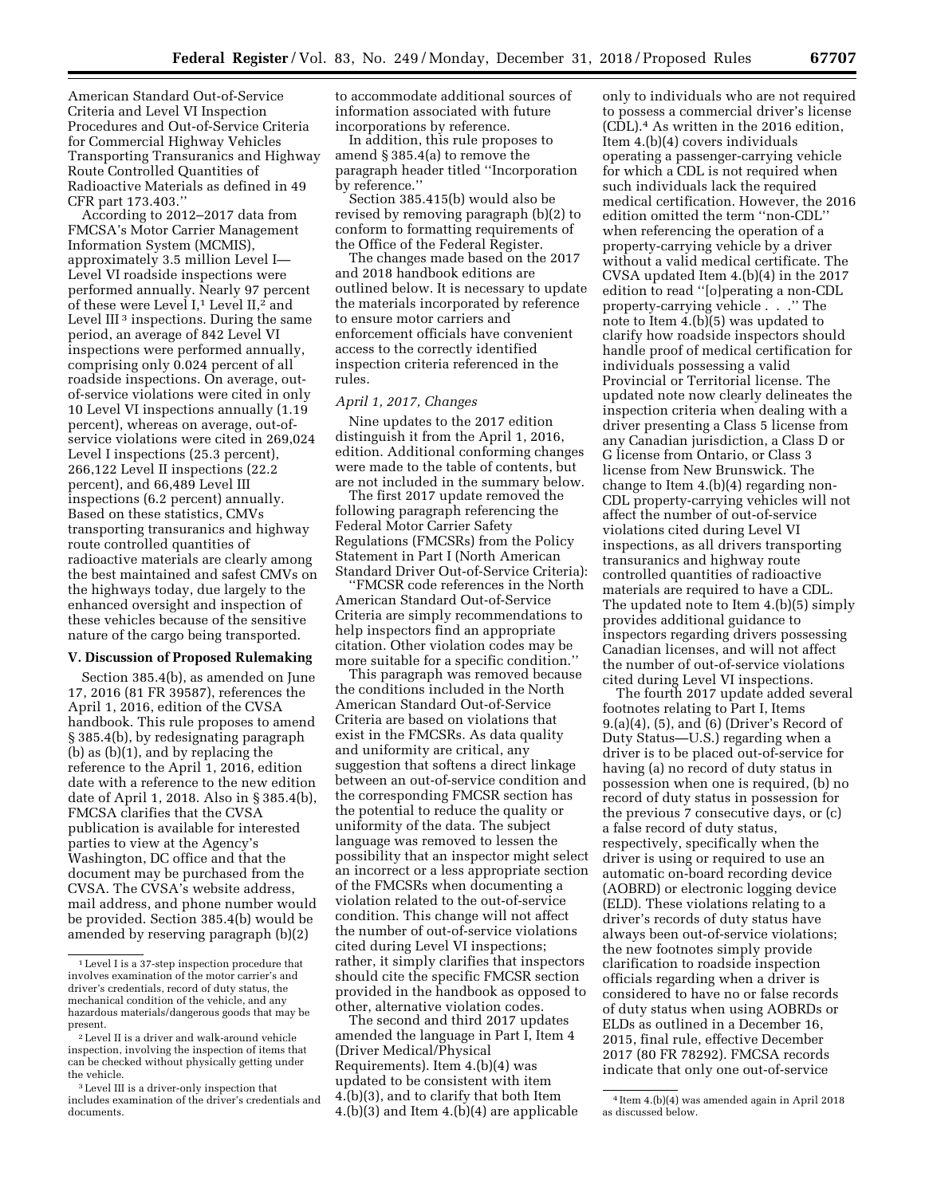American Standard Out-of-Service Criteria and Level VI Inspection Procedures and Out-of-Service Criteria for Commercial Highway Vehicles Transporting Transuranics and Highway Route Controlled Quantities of Radioactive Materials as defined in 49

CFR part 173.403.'' According to 2012–2017 data from FMCSA's Motor Carrier Management Information System (MCMIS), approximately 3.5 million Level I— Level VI roadside inspections were performed annually. Nearly 97 percent of these were Level I,<sup>1</sup> Level II,<sup>2</sup> and Level III<sup>3</sup> inspections. During the same period, an average of 842 Level VI inspections were performed annually, comprising only 0.024 percent of all roadside inspections. On average, outof-service violations were cited in only 10 Level VI inspections annually (1.19 percent), whereas on average, out-ofservice violations were cited in 269,024 Level I inspections (25.3 percent), 266,122 Level II inspections (22.2 percent), and 66,489 Level III inspections (6.2 percent) annually. Based on these statistics, CMVs transporting transuranics and highway route controlled quantities of radioactive materials are clearly among the best maintained and safest CMVs on the highways today, due largely to the enhanced oversight and inspection of these vehicles because of the sensitive nature of the cargo being transported.

### **V. Discussion of Proposed Rulemaking**

Section 385.4(b), as amended on June 17, 2016 (81 FR 39587), references the April 1, 2016, edition of the CVSA handbook. This rule proposes to amend § 385.4(b), by redesignating paragraph (b) as (b)(1), and by replacing the reference to the April 1, 2016, edition date with a reference to the new edition date of April 1, 2018. Also in § 385.4(b), FMCSA clarifies that the CVSA publication is available for interested parties to view at the Agency's Washington, DC office and that the document may be purchased from the CVSA. The CVSA's website address, mail address, and phone number would be provided. Section 385.4(b) would be amended by reserving paragraph (b)(2)

to accommodate additional sources of information associated with future incorporations by reference.

In addition, this rule proposes to amend § 385.4(a) to remove the paragraph header titled ''Incorporation by reference.''

Section 385.415(b) would also be revised by removing paragraph (b)(2) to conform to formatting requirements of the Office of the Federal Register.

The changes made based on the 2017 and 2018 handbook editions are outlined below. It is necessary to update the materials incorporated by reference to ensure motor carriers and enforcement officials have convenient access to the correctly identified inspection criteria referenced in the rules.

#### *April 1, 2017, Changes*

Nine updates to the 2017 edition distinguish it from the April 1, 2016, edition. Additional conforming changes were made to the table of contents, but are not included in the summary below.

The first 2017 update removed the following paragraph referencing the Federal Motor Carrier Safety Regulations (FMCSRs) from the Policy Statement in Part I (North American Standard Driver Out-of-Service Criteria):

''FMCSR code references in the North American Standard Out-of-Service Criteria are simply recommendations to help inspectors find an appropriate citation. Other violation codes may be more suitable for a specific condition.''

This paragraph was removed because the conditions included in the North American Standard Out-of-Service Criteria are based on violations that exist in the FMCSRs. As data quality and uniformity are critical, any suggestion that softens a direct linkage between an out-of-service condition and the corresponding FMCSR section has the potential to reduce the quality or uniformity of the data. The subject language was removed to lessen the possibility that an inspector might select an incorrect or a less appropriate section of the FMCSRs when documenting a violation related to the out-of-service condition. This change will not affect the number of out-of-service violations cited during Level VI inspections; rather, it simply clarifies that inspectors should cite the specific FMCSR section provided in the handbook as opposed to other, alternative violation codes.

The second and third 2017 updates amended the language in Part I, Item 4 (Driver Medical/Physical Requirements). Item 4.(b)(4) was updated to be consistent with item 4.(b)(3), and to clarify that both Item 4.(b)(3) and Item 4.(b)(4) are applicable

only to individuals who are not required to possess a commercial driver's license (CDL).4 As written in the 2016 edition, Item 4.(b)(4) covers individuals operating a passenger-carrying vehicle for which a CDL is not required when such individuals lack the required medical certification. However, the 2016 edition omitted the term ''non-CDL'' when referencing the operation of a property-carrying vehicle by a driver without a valid medical certificate. The CVSA updated Item 4.(b)(4) in the 2017 edition to read ''[o]perating a non-CDL property-carrying vehicle . . .'' The note to Item 4.(b)(5) was updated to clarify how roadside inspectors should handle proof of medical certification for individuals possessing a valid Provincial or Territorial license. The updated note now clearly delineates the inspection criteria when dealing with a driver presenting a Class 5 license from any Canadian jurisdiction, a Class D or G license from Ontario, or Class 3 license from New Brunswick. The change to Item 4.(b)(4) regarding non-CDL property-carrying vehicles will not affect the number of out-of-service violations cited during Level VI inspections, as all drivers transporting transuranics and highway route controlled quantities of radioactive materials are required to have a CDL. The updated note to Item 4.(b)(5) simply provides additional guidance to inspectors regarding drivers possessing Canadian licenses, and will not affect the number of out-of-service violations cited during Level VI inspections.

The fourth 2017 update added several footnotes relating to Part I, Items 9.(a)(4), (5), and (6) (Driver's Record of Duty Status—U.S.) regarding when a driver is to be placed out-of-service for having (a) no record of duty status in possession when one is required, (b) no record of duty status in possession for the previous 7 consecutive days, or (c) a false record of duty status, respectively, specifically when the driver is using or required to use an automatic on-board recording device (AOBRD) or electronic logging device (ELD). These violations relating to a driver's records of duty status have always been out-of-service violations; the new footnotes simply provide clarification to roadside inspection officials regarding when a driver is considered to have no or false records of duty status when using AOBRDs or ELDs as outlined in a December 16, 2015, final rule, effective December 2017 (80 FR 78292). FMCSA records indicate that only one out-of-service

<sup>1</sup>Level I is a 37-step inspection procedure that involves examination of the motor carrier's and driver's credentials, record of duty status, the mechanical condition of the vehicle, and any hazardous materials/dangerous goods that may be present.

<sup>2</sup>Level II is a driver and walk-around vehicle inspection, involving the inspection of items that can be checked without physically getting under the vehicle.

<sup>3</sup>Level III is a driver-only inspection that includes examination of the driver's credentials and documents.

<sup>4</sup> Item 4.(b)(4) was amended again in April 2018 as discussed below.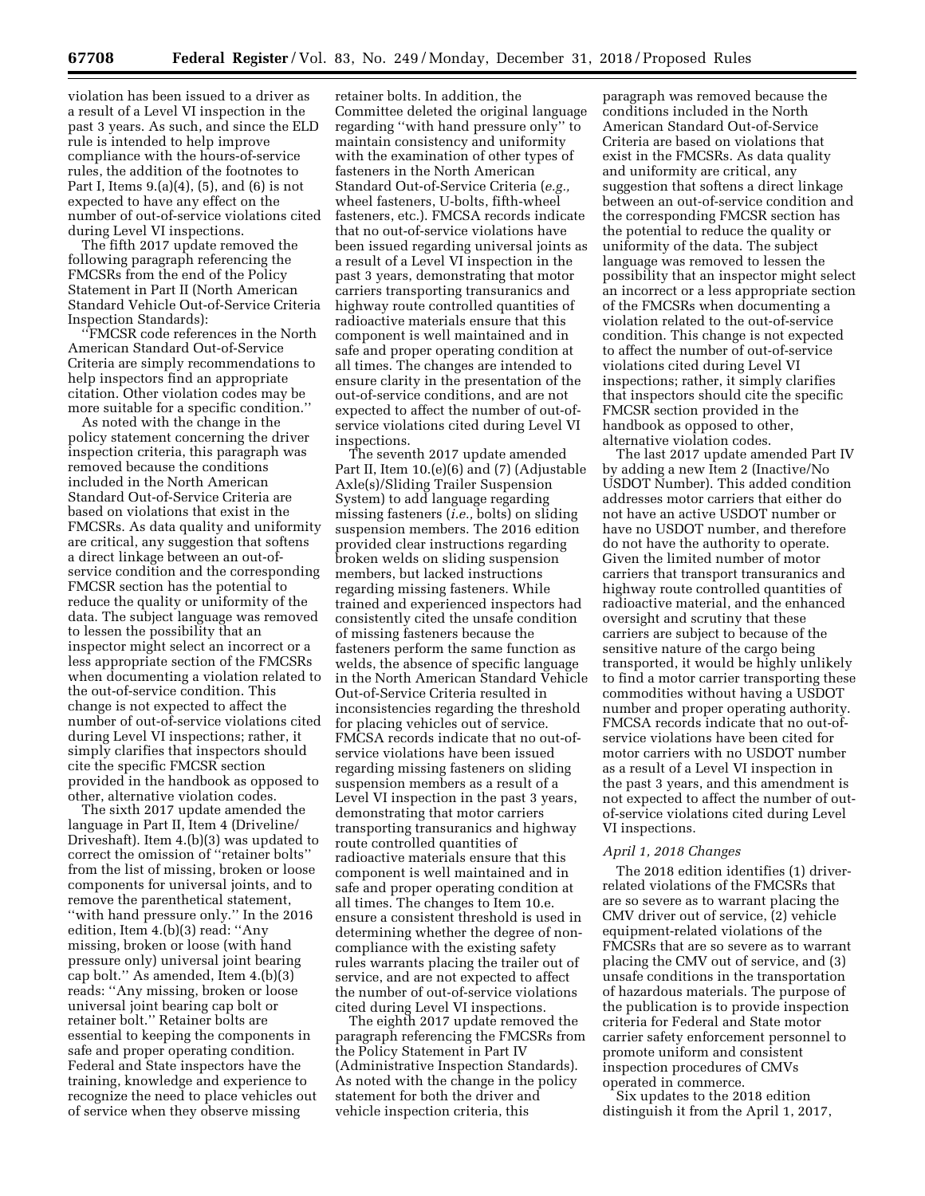violation has been issued to a driver as a result of a Level VI inspection in the past 3 years. As such, and since the ELD rule is intended to help improve compliance with the hours-of-service rules, the addition of the footnotes to Part I, Items 9.(a)(4), (5), and (6) is not expected to have any effect on the number of out-of-service violations cited during Level VI inspections.

The fifth 2017 update removed the following paragraph referencing the FMCSRs from the end of the Policy Statement in Part II (North American Standard Vehicle Out-of-Service Criteria Inspection Standards):

''FMCSR code references in the North American Standard Out-of-Service Criteria are simply recommendations to help inspectors find an appropriate citation. Other violation codes may be more suitable for a specific condition.''

As noted with the change in the policy statement concerning the driver inspection criteria, this paragraph was removed because the conditions included in the North American Standard Out-of-Service Criteria are based on violations that exist in the FMCSRs. As data quality and uniformity are critical, any suggestion that softens a direct linkage between an out-ofservice condition and the corresponding FMCSR section has the potential to reduce the quality or uniformity of the data. The subject language was removed to lessen the possibility that an inspector might select an incorrect or a less appropriate section of the FMCSRs when documenting a violation related to the out-of-service condition. This change is not expected to affect the number of out-of-service violations cited during Level VI inspections; rather, it simply clarifies that inspectors should cite the specific FMCSR section provided in the handbook as opposed to other, alternative violation codes.

The sixth 2017 update amended the language in Part II, Item 4 (Driveline/ Driveshaft). Item 4.(b)(3) was updated to correct the omission of ''retainer bolts'' from the list of missing, broken or loose components for universal joints, and to remove the parenthetical statement, ''with hand pressure only.'' In the 2016 edition, Item 4.(b)(3) read: ''Any missing, broken or loose (with hand pressure only) universal joint bearing cap bolt.'' As amended, Item 4.(b)(3) reads: ''Any missing, broken or loose universal joint bearing cap bolt or retainer bolt.'' Retainer bolts are essential to keeping the components in safe and proper operating condition. Federal and State inspectors have the training, knowledge and experience to recognize the need to place vehicles out of service when they observe missing

retainer bolts. In addition, the Committee deleted the original language regarding ''with hand pressure only'' to maintain consistency and uniformity with the examination of other types of fasteners in the North American Standard Out-of-Service Criteria (*e.g.,*  wheel fasteners, U-bolts, fifth-wheel fasteners, etc.). FMCSA records indicate that no out-of-service violations have been issued regarding universal joints as a result of a Level VI inspection in the past 3 years, demonstrating that motor carriers transporting transuranics and highway route controlled quantities of radioactive materials ensure that this component is well maintained and in safe and proper operating condition at all times. The changes are intended to ensure clarity in the presentation of the out-of-service conditions, and are not expected to affect the number of out-ofservice violations cited during Level VI inspections.

The seventh 2017 update amended Part II, Item 10.(e)(6) and (7) (Adjustable Axle(s)/Sliding Trailer Suspension System) to add language regarding missing fasteners (*i.e.,* bolts) on sliding suspension members. The 2016 edition provided clear instructions regarding broken welds on sliding suspension members, but lacked instructions regarding missing fasteners. While trained and experienced inspectors had consistently cited the unsafe condition of missing fasteners because the fasteners perform the same function as welds, the absence of specific language in the North American Standard Vehicle Out-of-Service Criteria resulted in inconsistencies regarding the threshold for placing vehicles out of service. FMCSA records indicate that no out-ofservice violations have been issued regarding missing fasteners on sliding suspension members as a result of a Level VI inspection in the past 3 years, demonstrating that motor carriers transporting transuranics and highway route controlled quantities of radioactive materials ensure that this component is well maintained and in safe and proper operating condition at all times. The changes to Item 10.e. ensure a consistent threshold is used in determining whether the degree of noncompliance with the existing safety rules warrants placing the trailer out of service, and are not expected to affect the number of out-of-service violations cited during Level VI inspections.

The eighth 2017 update removed the paragraph referencing the FMCSRs from the Policy Statement in Part IV (Administrative Inspection Standards). As noted with the change in the policy statement for both the driver and vehicle inspection criteria, this

paragraph was removed because the conditions included in the North American Standard Out-of-Service Criteria are based on violations that exist in the FMCSRs. As data quality and uniformity are critical, any suggestion that softens a direct linkage between an out-of-service condition and the corresponding FMCSR section has the potential to reduce the quality or uniformity of the data. The subject language was removed to lessen the possibility that an inspector might select an incorrect or a less appropriate section of the FMCSRs when documenting a violation related to the out-of-service condition. This change is not expected to affect the number of out-of-service violations cited during Level VI inspections; rather, it simply clarifies that inspectors should cite the specific FMCSR section provided in the handbook as opposed to other, alternative violation codes.

The last 2017 update amended Part IV by adding a new Item 2 (Inactive/No USDOT Number). This added condition addresses motor carriers that either do not have an active USDOT number or have no USDOT number, and therefore do not have the authority to operate. Given the limited number of motor carriers that transport transuranics and highway route controlled quantities of radioactive material, and the enhanced oversight and scrutiny that these carriers are subject to because of the sensitive nature of the cargo being transported, it would be highly unlikely to find a motor carrier transporting these commodities without having a USDOT number and proper operating authority. FMCSA records indicate that no out-ofservice violations have been cited for motor carriers with no USDOT number as a result of a Level VI inspection in the past 3 years, and this amendment is not expected to affect the number of outof-service violations cited during Level VI inspections.

#### *April 1, 2018 Changes*

The 2018 edition identifies (1) driverrelated violations of the FMCSRs that are so severe as to warrant placing the CMV driver out of service, (2) vehicle equipment-related violations of the FMCSRs that are so severe as to warrant placing the CMV out of service, and (3) unsafe conditions in the transportation of hazardous materials. The purpose of the publication is to provide inspection criteria for Federal and State motor carrier safety enforcement personnel to promote uniform and consistent inspection procedures of CMVs operated in commerce.

Six updates to the 2018 edition distinguish it from the April 1, 2017,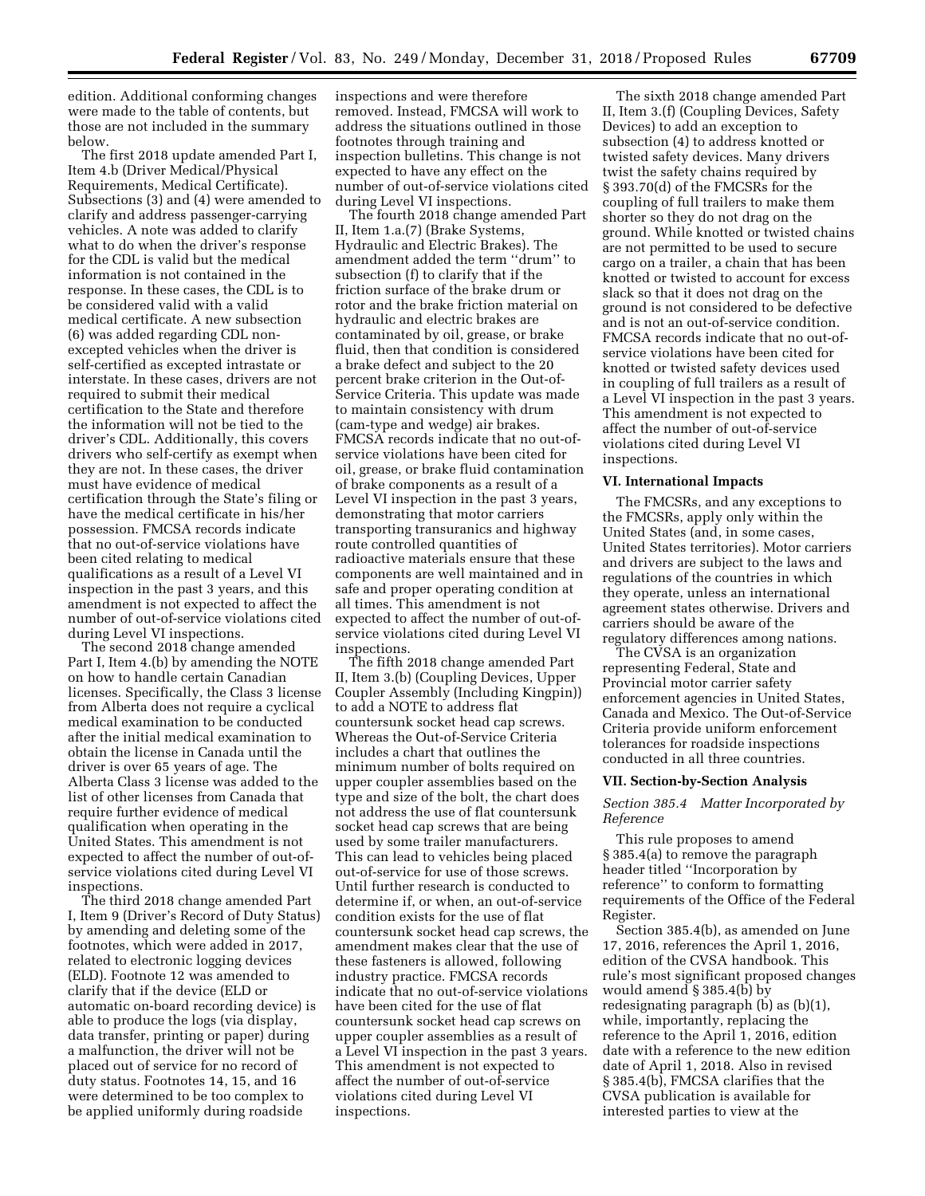edition. Additional conforming changes were made to the table of contents, but those are not included in the summary below.

The first 2018 update amended Part I, Item 4.b (Driver Medical/Physical Requirements, Medical Certificate). Subsections (3) and (4) were amended to clarify and address passenger-carrying vehicles. A note was added to clarify what to do when the driver's response for the CDL is valid but the medical information is not contained in the response. In these cases, the CDL is to be considered valid with a valid medical certificate. A new subsection (6) was added regarding CDL nonexcepted vehicles when the driver is self-certified as excepted intrastate or interstate. In these cases, drivers are not required to submit their medical certification to the State and therefore the information will not be tied to the driver's CDL. Additionally, this covers drivers who self-certify as exempt when they are not. In these cases, the driver must have evidence of medical certification through the State's filing or have the medical certificate in his/her possession. FMCSA records indicate that no out-of-service violations have been cited relating to medical qualifications as a result of a Level VI inspection in the past 3 years, and this amendment is not expected to affect the number of out-of-service violations cited during Level VI inspections.

The second 2018 change amended Part I, Item 4.(b) by amending the NOTE on how to handle certain Canadian licenses. Specifically, the Class 3 license from Alberta does not require a cyclical medical examination to be conducted after the initial medical examination to obtain the license in Canada until the driver is over 65 years of age. The Alberta Class 3 license was added to the list of other licenses from Canada that require further evidence of medical qualification when operating in the United States. This amendment is not expected to affect the number of out-ofservice violations cited during Level VI inspections.

The third 2018 change amended Part I, Item 9 (Driver's Record of Duty Status) by amending and deleting some of the footnotes, which were added in 2017, related to electronic logging devices (ELD). Footnote 12 was amended to clarify that if the device (ELD or automatic on-board recording device) is able to produce the logs (via display, data transfer, printing or paper) during a malfunction, the driver will not be placed out of service for no record of duty status. Footnotes 14, 15, and 16 were determined to be too complex to be applied uniformly during roadside

inspections and were therefore removed. Instead, FMCSA will work to address the situations outlined in those footnotes through training and inspection bulletins. This change is not expected to have any effect on the number of out-of-service violations cited during Level VI inspections.

The fourth 2018 change amended Part II, Item 1.a.(7) (Brake Systems, Hydraulic and Electric Brakes). The amendment added the term ''drum'' to subsection (f) to clarify that if the friction surface of the brake drum or rotor and the brake friction material on hydraulic and electric brakes are contaminated by oil, grease, or brake fluid, then that condition is considered a brake defect and subject to the 20 percent brake criterion in the Out-of-Service Criteria. This update was made to maintain consistency with drum (cam-type and wedge) air brakes. FMCSA records indicate that no out-ofservice violations have been cited for oil, grease, or brake fluid contamination of brake components as a result of a Level VI inspection in the past 3 years, demonstrating that motor carriers transporting transuranics and highway route controlled quantities of radioactive materials ensure that these components are well maintained and in safe and proper operating condition at all times. This amendment is not expected to affect the number of out-ofservice violations cited during Level VI inspections.

The fifth 2018 change amended Part II, Item 3.(b) (Coupling Devices, Upper Coupler Assembly (Including Kingpin)) to add a NOTE to address flat countersunk socket head cap screws. Whereas the Out-of-Service Criteria includes a chart that outlines the minimum number of bolts required on upper coupler assemblies based on the type and size of the bolt, the chart does not address the use of flat countersunk socket head cap screws that are being used by some trailer manufacturers. This can lead to vehicles being placed out-of-service for use of those screws. Until further research is conducted to determine if, or when, an out-of-service condition exists for the use of flat countersunk socket head cap screws, the amendment makes clear that the use of these fasteners is allowed, following industry practice. FMCSA records indicate that no out-of-service violations have been cited for the use of flat countersunk socket head cap screws on upper coupler assemblies as a result of a Level VI inspection in the past 3 years. This amendment is not expected to affect the number of out-of-service violations cited during Level VI inspections.

The sixth 2018 change amended Part II, Item 3.(f) (Coupling Devices, Safety Devices) to add an exception to subsection (4) to address knotted or twisted safety devices. Many drivers twist the safety chains required by § 393.70(d) of the FMCSRs for the coupling of full trailers to make them shorter so they do not drag on the ground. While knotted or twisted chains are not permitted to be used to secure cargo on a trailer, a chain that has been knotted or twisted to account for excess slack so that it does not drag on the ground is not considered to be defective and is not an out-of-service condition. FMCSA records indicate that no out-ofservice violations have been cited for knotted or twisted safety devices used in coupling of full trailers as a result of a Level VI inspection in the past 3 years. This amendment is not expected to affect the number of out-of-service violations cited during Level VI inspections.

#### **VI. International Impacts**

The FMCSRs, and any exceptions to the FMCSRs, apply only within the United States (and, in some cases, United States territories). Motor carriers and drivers are subject to the laws and regulations of the countries in which they operate, unless an international agreement states otherwise. Drivers and carriers should be aware of the regulatory differences among nations.

The CVSA is an organization representing Federal, State and Provincial motor carrier safety enforcement agencies in United States, Canada and Mexico. The Out-of-Service Criteria provide uniform enforcement tolerances for roadside inspections conducted in all three countries.

#### **VII. Section-by-Section Analysis**

## *Section 385.4 Matter Incorporated by Reference*

This rule proposes to amend § 385.4(a) to remove the paragraph header titled ''Incorporation by reference'' to conform to formatting requirements of the Office of the Federal Register.

Section 385.4(b), as amended on June 17, 2016, references the April 1, 2016, edition of the CVSA handbook. This rule's most significant proposed changes would amend § 385.4(b) by redesignating paragraph (b) as (b)(1), while, importantly, replacing the reference to the April 1, 2016, edition date with a reference to the new edition date of April 1, 2018. Also in revised § 385.4(b), FMCSA clarifies that the CVSA publication is available for interested parties to view at the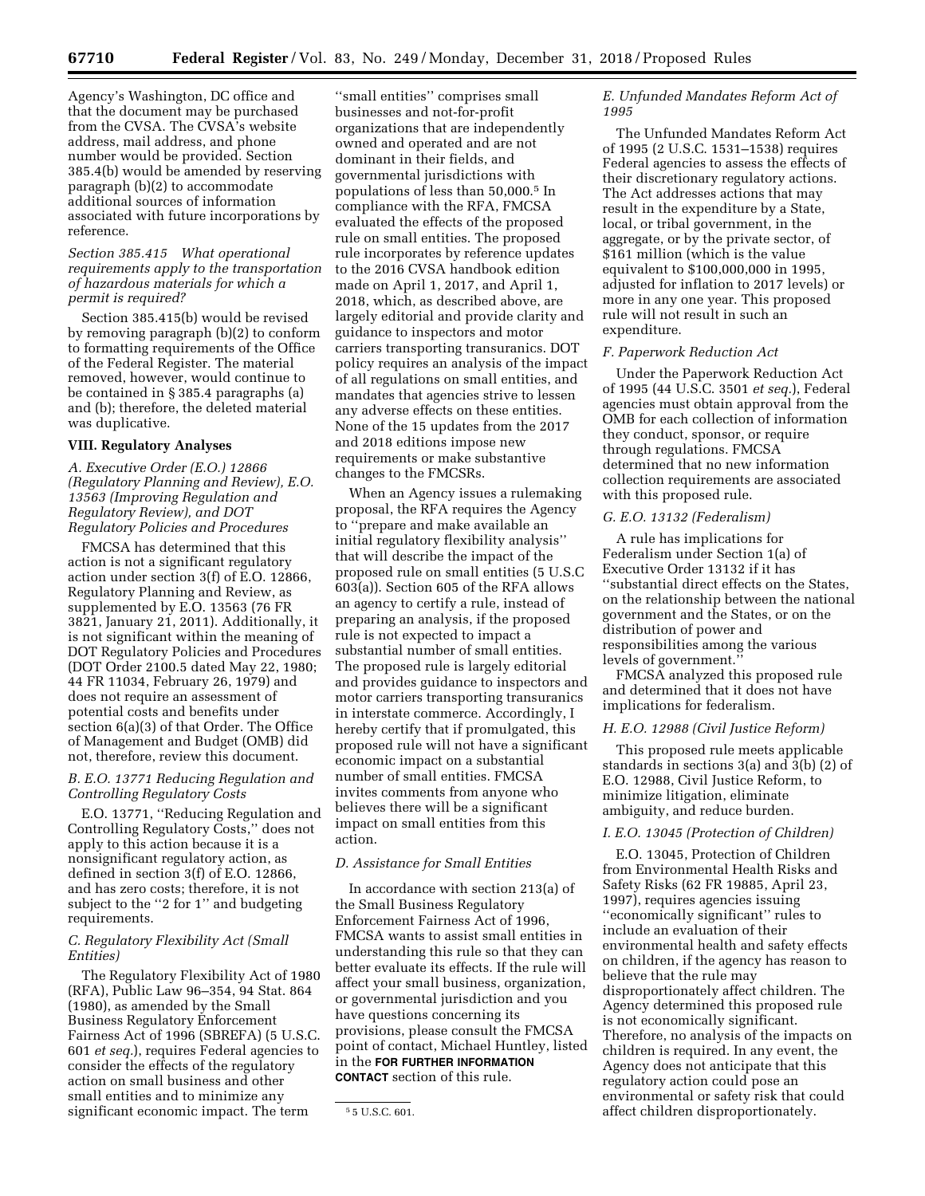Agency's Washington, DC office and that the document may be purchased from the CVSA. The CVSA's website address, mail address, and phone number would be provided. Section 385.4(b) would be amended by reserving paragraph (b)(2) to accommodate additional sources of information associated with future incorporations by reference.

### *Section 385.415 What operational requirements apply to the transportation of hazardous materials for which a permit is required?*

Section 385.415(b) would be revised by removing paragraph (b)(2) to conform to formatting requirements of the Office of the Federal Register. The material removed, however, would continue to be contained in § 385.4 paragraphs (a) and (b); therefore, the deleted material was duplicative.

### **VIII. Regulatory Analyses**

*A. Executive Order (E.O.) 12866 (Regulatory Planning and Review), E.O. 13563 (Improving Regulation and Regulatory Review), and DOT Regulatory Policies and Procedures* 

FMCSA has determined that this action is not a significant regulatory action under section 3(f) of E.O. 12866, Regulatory Planning and Review, as supplemented by E.O. 13563 (76 FR 3821, January 21, 2011). Additionally, it is not significant within the meaning of DOT Regulatory Policies and Procedures (DOT Order 2100.5 dated May 22, 1980; 44 FR 11034, February 26, 1979) and does not require an assessment of potential costs and benefits under section 6(a)(3) of that Order. The Office of Management and Budget (OMB) did not, therefore, review this document.

# *B. E.O. 13771 Reducing Regulation and Controlling Regulatory Costs*

E.O. 13771, ''Reducing Regulation and Controlling Regulatory Costs,'' does not apply to this action because it is a nonsignificant regulatory action, as defined in section 3(f) of E.O. 12866, and has zero costs; therefore, it is not subject to the ''2 for 1'' and budgeting requirements.

### *C. Regulatory Flexibility Act (Small Entities)*

The Regulatory Flexibility Act of 1980 (RFA), Public Law 96–354, 94 Stat. 864 (1980), as amended by the Small Business Regulatory Enforcement Fairness Act of 1996 (SBREFA) (5 U.S.C. 601 *et seq.*), requires Federal agencies to consider the effects of the regulatory action on small business and other small entities and to minimize any significant economic impact. The term

''small entities'' comprises small businesses and not-for-profit organizations that are independently owned and operated and are not dominant in their fields, and governmental jurisdictions with populations of less than 50,000.5 In compliance with the RFA, FMCSA evaluated the effects of the proposed rule on small entities. The proposed rule incorporates by reference updates to the 2016 CVSA handbook edition made on April 1, 2017, and April 1, 2018, which, as described above, are largely editorial and provide clarity and guidance to inspectors and motor carriers transporting transuranics. DOT policy requires an analysis of the impact of all regulations on small entities, and mandates that agencies strive to lessen any adverse effects on these entities. None of the 15 updates from the 2017 and 2018 editions impose new requirements or make substantive changes to the FMCSRs.

When an Agency issues a rulemaking proposal, the RFA requires the Agency to ''prepare and make available an initial regulatory flexibility analysis'' that will describe the impact of the proposed rule on small entities (5 U.S.C 603(a)). Section 605 of the RFA allows an agency to certify a rule, instead of preparing an analysis, if the proposed rule is not expected to impact a substantial number of small entities. The proposed rule is largely editorial and provides guidance to inspectors and motor carriers transporting transuranics in interstate commerce. Accordingly, I hereby certify that if promulgated, this proposed rule will not have a significant economic impact on a substantial number of small entities. FMCSA invites comments from anyone who believes there will be a significant impact on small entities from this action.

### *D. Assistance for Small Entities*

In accordance with section 213(a) of the Small Business Regulatory Enforcement Fairness Act of 1996, FMCSA wants to assist small entities in understanding this rule so that they can better evaluate its effects. If the rule will affect your small business, organization, or governmental jurisdiction and you have questions concerning its provisions, please consult the FMCSA point of contact, Michael Huntley, listed in the **FOR FURTHER INFORMATION CONTACT** section of this rule.

# *E. Unfunded Mandates Reform Act of 1995*

The Unfunded Mandates Reform Act of 1995 (2 U.S.C. 1531–1538) requires Federal agencies to assess the effects of their discretionary regulatory actions. The Act addresses actions that may result in the expenditure by a State, local, or tribal government, in the aggregate, or by the private sector, of \$161 million (which is the value equivalent to \$100,000,000 in 1995, adjusted for inflation to 2017 levels) or more in any one year. This proposed rule will not result in such an expenditure.

#### *F. Paperwork Reduction Act*

Under the Paperwork Reduction Act of 1995 (44 U.S.C. 3501 *et seq.*), Federal agencies must obtain approval from the OMB for each collection of information they conduct, sponsor, or require through regulations. FMCSA determined that no new information collection requirements are associated with this proposed rule.

# *G. E.O. 13132 (Federalism)*

A rule has implications for Federalism under Section 1(a) of Executive Order 13132 if it has ''substantial direct effects on the States, on the relationship between the national government and the States, or on the distribution of power and responsibilities among the various levels of government.''

FMCSA analyzed this proposed rule and determined that it does not have implications for federalism.

### *H. E.O. 12988 (Civil Justice Reform)*

This proposed rule meets applicable standards in sections 3(a) and 3(b) (2) of E.O. 12988, Civil Justice Reform, to minimize litigation, eliminate ambiguity, and reduce burden.

### *I. E.O. 13045 (Protection of Children)*

E.O. 13045, Protection of Children from Environmental Health Risks and Safety Risks (62 FR 19885, April 23, 1997), requires agencies issuing ''economically significant'' rules to include an evaluation of their environmental health and safety effects on children, if the agency has reason to believe that the rule may disproportionately affect children. The Agency determined this proposed rule is not economically significant. Therefore, no analysis of the impacts on children is required. In any event, the Agency does not anticipate that this regulatory action could pose an environmental or safety risk that could affect children disproportionately.

<sup>5</sup> 5 U.S.C. 601.